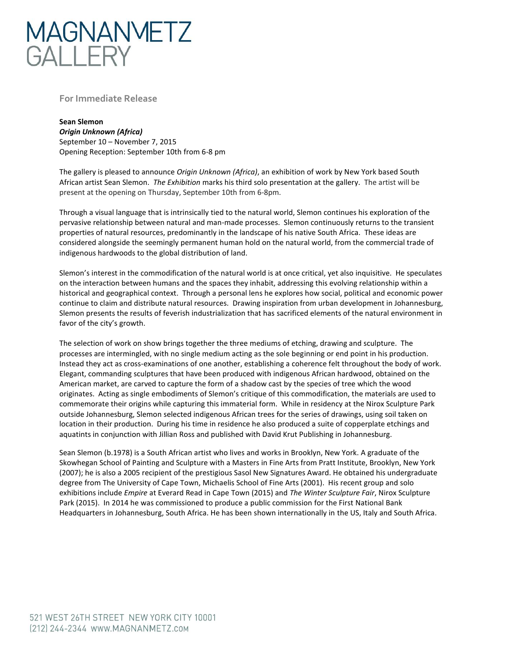

**For Immediate Release**

**Sean Slemon** *Origin Unknown (Africa)*  September 10 – November 7, 2015 Opening Reception: September 10th from 6-8 pm

The gallery is pleased to announce *Origin Unknown (Africa)*, an exhibition of work by New York based South African artist Sean Slemon. *The Exhibition* marks his third solo presentation at the gallery. The artist will be present at the opening on Thursday, September 10th from 6-8pm.

Through a visual language that is intrinsically tied to the natural world, Slemon continues his exploration of the pervasive relationship between natural and man-made processes. Slemon continuously returns to the transient properties of natural resources, predominantly in the landscape of his native South Africa. These ideas are considered alongside the seemingly permanent human hold on the natural world, from the commercial trade of indigenous hardwoods to the global distribution of land.

Slemon's interest in the commodification of the natural world is at once critical, yet also inquisitive. He speculates on the interaction between humans and the spaces they inhabit, addressing this evolving relationship within a historical and geographical context. Through a personal lens he explores how social, political and economic power continue to claim and distribute natural resources. Drawing inspiration from urban development in Johannesburg, Slemon presents the results of feverish industrialization that has sacrificed elements of the natural environment in favor of the city's growth.

The selection of work on show brings together the three mediums of etching, drawing and sculpture. The processes are intermingled, with no single medium acting as the sole beginning or end point in his production. Instead they act as cross-examinations of one another, establishing a coherence felt throughout the body of work. Elegant, commanding sculptures that have been produced with indigenous African hardwood, obtained on the American market, are carved to capture the form of a shadow cast by the species of tree which the wood originates. Acting as single embodiments of Slemon's critique of this commodification, the materials are used to commemorate their origins while capturing this immaterial form. While in residency at the Nirox Sculpture Park outside Johannesburg, Slemon selected indigenous African trees for the series of drawings, using soil taken on location in their production. During his time in residence he also produced a suite of copperplate etchings and aquatints in conjunction with Jillian Ross and published with David Krut Publishing in Johannesburg.

Sean Slemon (b.1978) is a South African artist who lives and works in Brooklyn, New York. A graduate of the Skowhegan School of Painting and Sculpture with a Masters in Fine Arts from Pratt Institute, Brooklyn, New York (2007); he is also a 2005 recipient of the prestigious Sasol New Signatures Award. He obtained his undergraduate degree from The University of Cape Town, Michaelis School of Fine Arts (2001). His recent group and solo exhibitions include *Empire* at Everard Read in Cape Town (2015) and *The Winter Sculpture Fair*, Nirox Sculpture Park (2015). In 2014 he was commissioned to produce a public commission for the First National Bank Headquarters in Johannesburg, South Africa. He has been shown internationally in the US, Italy and South Africa.